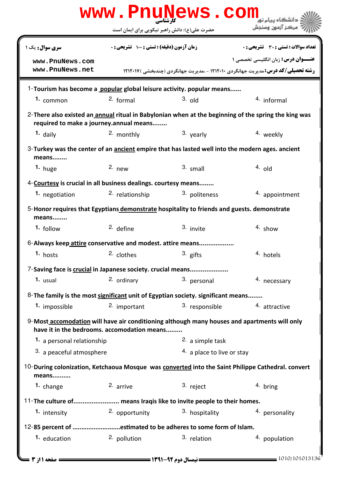|                                                                                                                                             |                                                                                   | www.PnuNews.com              |                                                                                                       |  |  |  |
|---------------------------------------------------------------------------------------------------------------------------------------------|-----------------------------------------------------------------------------------|------------------------------|-------------------------------------------------------------------------------------------------------|--|--|--|
|                                                                                                                                             | حضرت علی(ع): دانش راهبر نیکویی برای ایمان است                                     |                              | ً مرڪز آزمون وسنڊش                                                                                    |  |  |  |
| سری سوال : یک ۱                                                                                                                             | زمان آزمون (دقیقه) : تستی : 100 تشریحی : 0                                        |                              | <b>تعداد سوالات : تستي : 30 ٪ تشريحي : 0</b>                                                          |  |  |  |
| www.PnuNews.com                                                                                                                             |                                                                                   |                              | <b>عنـــوان درس:</b> زبان انگلیسی تخصصی ۱                                                             |  |  |  |
| www.PnuNews.net                                                                                                                             |                                                                                   |                              | <b>رشته تحصیلی/کد درس:</b> مدیریت جهانگردی ۱۲۱۲۰۱۰ - ،مدیریت جهانگردی (چندبخشی ) ۱۲۱۲۰۱۷              |  |  |  |
| 1-Tourism has become a popular global leisure activity. popular means                                                                       |                                                                                   |                              |                                                                                                       |  |  |  |
| 1. common                                                                                                                                   | $2.$ formal                                                                       | $3.$ old                     | 4. informal                                                                                           |  |  |  |
| required to make a journey.annual means                                                                                                     |                                                                                   |                              | 2- There also existed an annual ritual in Babylonian when at the beginning of the spring the king was |  |  |  |
| $1.$ daily                                                                                                                                  | 2. monthly                                                                        | 3. yearly                    | 4. weekly                                                                                             |  |  |  |
| 3-Turkey was the center of an ancient empire that has lasted well into the modern ages. ancient<br>means                                    |                                                                                   |                              |                                                                                                       |  |  |  |
| $1.$ huge                                                                                                                                   | $2.$ new                                                                          | $3.$ small                   | $4.$ old                                                                                              |  |  |  |
| 4-Courtesy is crucial in all business dealings. courtesy means                                                                              |                                                                                   |                              |                                                                                                       |  |  |  |
| 1. negotiation                                                                                                                              | 2. relationship                                                                   | 3. politeness                | 4. appointment                                                                                        |  |  |  |
| 5-Honor requires that Egyptians demonstrate hospitality to friends and guests. demonstrate<br>means                                         |                                                                                   |                              |                                                                                                       |  |  |  |
| 1. follow                                                                                                                                   | $2.$ define                                                                       | 3. invite                    | $4.$ show                                                                                             |  |  |  |
| 6-Always keep attire conservative and modest. attire means                                                                                  |                                                                                   |                              |                                                                                                       |  |  |  |
| 1. hosts                                                                                                                                    | 2. clothes                                                                        | 3. gifts                     | 4. hotels                                                                                             |  |  |  |
| 7-Saving face is crucial in Japanese society. crucial means                                                                                 |                                                                                   |                              |                                                                                                       |  |  |  |
| 1. usual                                                                                                                                    | 2. ordinary                                                                       | 3. personal                  | 4. necessary                                                                                          |  |  |  |
|                                                                                                                                             | 8- The family is the most significant unit of Egyptian society. significant means |                              |                                                                                                       |  |  |  |
| 1. impossible                                                                                                                               | 2. important                                                                      | 3. responsible               | 4. attractive                                                                                         |  |  |  |
| 9-Most accomodation will have air conditioning although many houses and apartments will only<br>have it in the bedrooms. accomodation means |                                                                                   |                              |                                                                                                       |  |  |  |
| 1. a personal relationship                                                                                                                  |                                                                                   | 2. a simple task             |                                                                                                       |  |  |  |
| 3. a peaceful atmosphere                                                                                                                    |                                                                                   | $4.$ a place to live or stay |                                                                                                       |  |  |  |
| 10-During colonization, Ketchaoua Mosque was converted into the Saint Philippe Cathedral. convert<br>means                                  |                                                                                   |                              |                                                                                                       |  |  |  |
| 1. change                                                                                                                                   | 2. arrive                                                                         | 3. reject                    | 4. bring                                                                                              |  |  |  |
| 11-The culture of means Iraqis like to invite people to their homes.                                                                        |                                                                                   |                              |                                                                                                       |  |  |  |
| 1. intensity                                                                                                                                | 2. opportunity                                                                    | <sup>3</sup> hospitality     | 4. personality                                                                                        |  |  |  |
| 12-85 percent of estimated to be adheres to some form of Islam.                                                                             |                                                                                   |                              |                                                                                                       |  |  |  |
| 1. education                                                                                                                                | 2. pollution                                                                      | 3. relation                  | 4. population                                                                                         |  |  |  |
| <b>= صفحه 11; 3 ــــا</b>                                                                                                                   |                                                                                   |                              | 1010/101013136                                                                                        |  |  |  |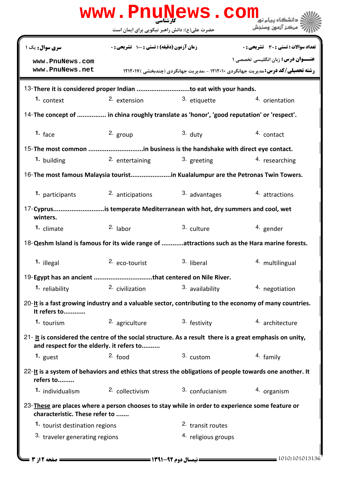|                                                                                                                                                                     | حضرت علی(ع): دانش راهبر نیکویی برای ایمان است |                         | مركز آزمون وسندش                                                                                          |
|---------------------------------------------------------------------------------------------------------------------------------------------------------------------|-----------------------------------------------|-------------------------|-----------------------------------------------------------------------------------------------------------|
| <b>سری سوال :</b> یک ۱                                                                                                                                              | زمان آزمون (دقیقه) : تستی : 100 تشریحی : 0    |                         | <b>تعداد سوالات : تستی : 30 ٪ تشریحی : 0</b>                                                              |
| www.PnuNews.com                                                                                                                                                     |                                               |                         | <b>عنـــوان درس:</b> زبان انگلیسی تخصصی ۱                                                                 |
| www.PnuNews.net                                                                                                                                                     |                                               |                         | <b>رشته تحصیلی/کد درس: مدیریت جهانگردی ۱۲۱۲۰۱۰ - مدیریت جهانگردی (چندبخشی ) ۱۲۱۲۰۱۷</b>                   |
| 13-There it is considered proper Indian to eat with your hands.                                                                                                     |                                               |                         |                                                                                                           |
| 1. context                                                                                                                                                          | 2. extension                                  | <sup>3.</sup> etiquette | 4. orientation                                                                                            |
| 14-The concept of  in china roughly translate as 'honor', 'good reputation' or 'respect'.                                                                           |                                               |                         |                                                                                                           |
| 1. $frac$                                                                                                                                                           | 2. group                                      | $3.$ duty               | 4. contact                                                                                                |
|                                                                                                                                                                     |                                               |                         |                                                                                                           |
| 1. building                                                                                                                                                         | 2. entertaining                               | 3. greeting             | 4. researching                                                                                            |
|                                                                                                                                                                     |                                               |                         |                                                                                                           |
| 1. participants                                                                                                                                                     | 2. anticipations                              | 3. advantages           | 4. attractions                                                                                            |
| 17-Cyprusis temperate Mediterranean with hot, dry summers and cool, wet<br>winters.                                                                                 |                                               |                         |                                                                                                           |
| 1. climate                                                                                                                                                          | $2.$ labor                                    | 3. culture              | <sup>4</sup> gender                                                                                       |
|                                                                                                                                                                     |                                               |                         | 18-Qeshm Island is famous for its wide range of attractions such as the Hara marine forests.              |
| 1. illegal                                                                                                                                                          | 2. eco-tourist                                | 3. liberal              | 4. multilingual                                                                                           |
|                                                                                                                                                                     |                                               |                         |                                                                                                           |
| 1. reliability                                                                                                                                                      | 2. civilization                               | 3. availability         | 4. negotiation                                                                                            |
| It refers to                                                                                                                                                        |                                               |                         | $20$ -It is a fast growing industry and a valuable sector, contributing to the economy of many countries. |
| 1. tourism                                                                                                                                                          | <sup>2.</sup> agriculture                     | 3. festivity            | 4. architecture                                                                                           |
| 21- It is considered the centre of the social structure. As a result there is a great emphasis on unity,<br>and respect for the elderly. it refers to               |                                               |                         |                                                                                                           |
|                                                                                                                                                                     | $2.$ food                                     | 3. custom               | 4. family                                                                                                 |
| 1. guest                                                                                                                                                            |                                               |                         |                                                                                                           |
| 22-It is a system of behaviors and ethics that stress the obligations of people towards one another. It<br>refers to                                                |                                               |                         |                                                                                                           |
| 1. individualism                                                                                                                                                    | 2. collectivism                               | 3. confucianism         | 4. organism                                                                                               |
|                                                                                                                                                                     |                                               |                         |                                                                                                           |
| 23-These are places where a person chooses to stay while in order to experience some feature or<br>characteristic. These refer to<br>1. tourist destination regions |                                               | 2. transit routes       |                                                                                                           |